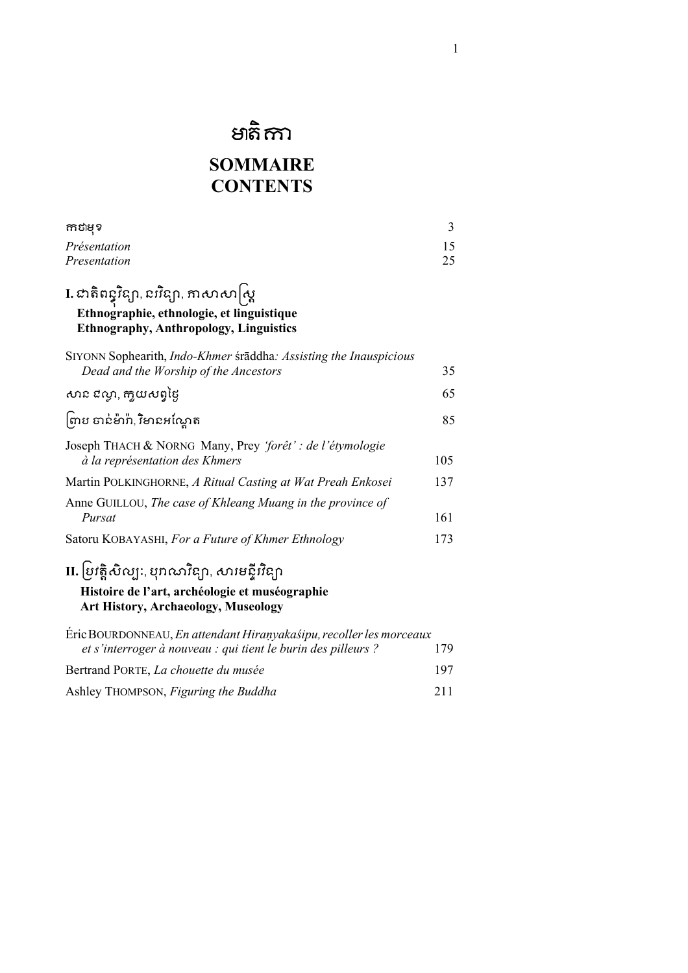# មាតិកាា

## **SOMMAIRE CONTENTS**

| កាដាមុខ                                                                                                                                          | 3        |
|--------------------------------------------------------------------------------------------------------------------------------------------------|----------|
| Présentation<br>Presentation                                                                                                                     | 15<br>25 |
| I. ជាតិពន្ធ្វវិន្យា, ជ $\tilde{n}$ ន្យា, ភាសាសា $\big[\alpha\big]$<br>Ethnographie, ethnologie, et linguistique                                  |          |
| <b>Ethnography, Anthropology, Linguistics</b>                                                                                                    |          |
| SIYONN Sophearith, Indo-Khmer śrāddha: Assisting the Inauspicious<br>Dead and the Worship of the Ancestors                                       | 35       |
| សាជ ជល្ងា, កា្លយសព្វថ្ងៃ                                                                                                                         | 65       |
| ့<br>ကြၓ တင်မိာဂီ, វិមាឧអស្ត្រែត                                                                                                                 | 85       |
| Joseph THACH & NORNG Many, Prey 'forêt' : de l'étymologie<br>à la représentation des Khmers                                                      | 105      |
| Martin POLKINGHORNE, A Ritual Casting at Wat Preah Enkosei                                                                                       | 137      |
| Anne GUILLOU, The case of Khleang Muang in the province of<br>Pursat                                                                             | 161      |
| Satoru KOBAYASHI, For a Future of Khmer Ethnology                                                                                                | 173      |
| II. ប្រវត្តិសិល្បៈ, បុរាណវិន្យា, សារមន្ទីរវិន្យា<br>Histoire de l'art, archéologie et muséographie<br><b>Art History, Archaeology, Museology</b> |          |
| Éric BOURDONNEAU, En attendant Hiranyakaśipu, recoller les morceaux<br>et s'interroger à nouveau : qui tient le burin des pilleurs ?             | 179      |
| Bertrand PORTE, La chouette du musée                                                                                                             | 197      |
| Ashley THOMPSON, Figuring the Buddha                                                                                                             | 211      |